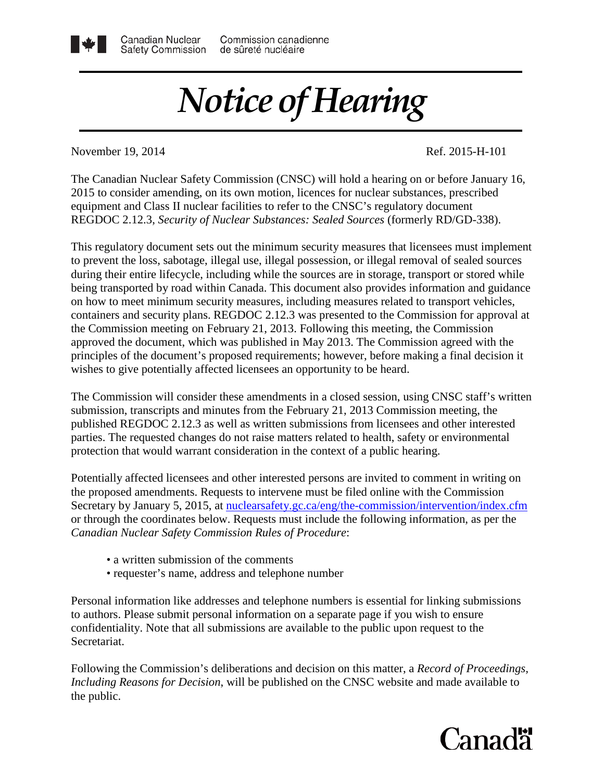## *Notice of Hearing*

November 19, 2014 Ref. 2015-H-101

Canadian Nuclear

The Canadian Nuclear Safety Commission (CNSC) will hold a hearing on or before January 16, 2015 to consider amending, on its own motion, licences for nuclear substances, prescribed equipment and Class II nuclear facilities to refer to the CNSC's regulatory document REGDOC 2.12.3, *Security of Nuclear Substances: Sealed Sources* (formerly RD/GD-338).

This regulatory document sets out the minimum security measures that licensees must implement to prevent the loss, sabotage, illegal use, illegal possession, or illegal removal of sealed sources during their entire lifecycle, including while the sources are in storage, transport or stored while being transported by road within Canada. This document also provides information and guidance on how to meet minimum security measures, including measures related to transport vehicles, containers and security plans. REGDOC 2.12.3 was presented to the Commission for approval at the Commission meeting on February 21, 2013. Following this meeting, the Commission approved the document, which was published in May 2013. The Commission agreed with the principles of the document's proposed requirements; however, before making a final decision it wishes to give potentially affected licensees an opportunity to be heard.

The Commission will consider these amendments in a closed session, using CNSC staff's written submission, transcripts and minutes from the February 21, 2013 Commission meeting, the published REGDOC 2.12.3 as well as written submissions from licensees and other interested parties. The requested changes do not raise matters related to health, safety or environmental protection that would warrant consideration in the context of a public hearing.

Potentially affected licensees and other interested persons are invited to comment in writing on the proposed amendments. Requests to intervene must be filed online with the Commission Secretary by January 5, 2015, at [nuclearsafety.gc.ca/eng/the-commission/intervention/index.cfm](http://www.nuclearsafety.gc.ca/eng/the-commission/intervention/index.cfm) or through the coordinates below. Requests must include the following information, as per the *Canadian Nuclear Safety Commission Rules of Procedure*:

- a written submission of the comments
- requester's name, address and telephone number

Personal information like addresses and telephone numbers is essential for linking submissions to authors. Please submit personal information on a separate page if you wish to ensure confidentiality. Note that all submissions are available to the public upon request to the Secretariat.

Following the Commission's deliberations and decision on this matter, a *Record of Proceedings, Including Reasons for Decision*, will be published on the CNSC website and made available to the public.